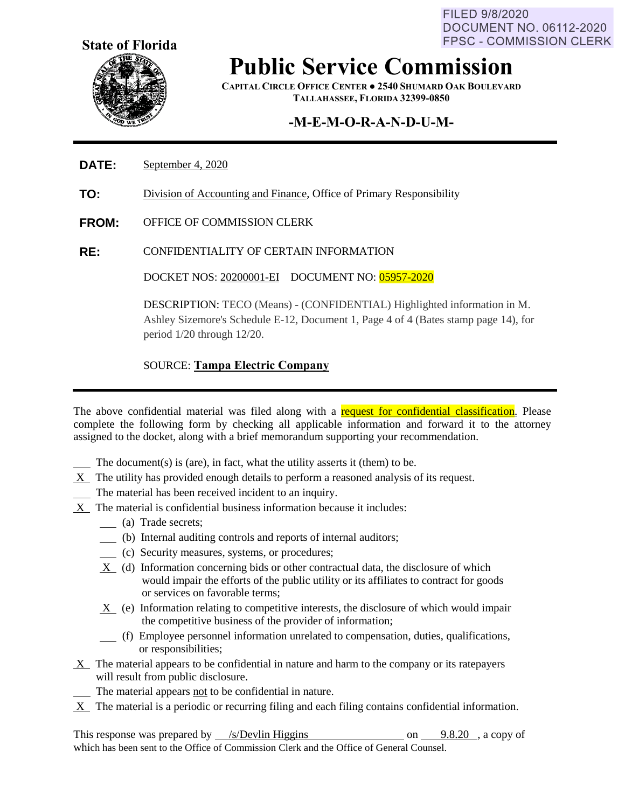FILED 9/8/2020 DOCUMENT NO. 06112-2020 **FPSC - COMMISSION CLERK** 



## **Public Service Commission**

**CAPITAL CIRCLE OFFICE CENTER ● 2540 SHUMARD OAK BOULEVARD TALLAHASSEE, FLORIDA 32399-0850**

### **-M-E-M-O-R-A-N-D-U-M-**

#### **DATE:** September 4, 2020

- **TO:** Division of Accounting and Finance, Office of Primary Responsibility
- **FROM:** OFFICE OF COMMISSION CLERK
- **RE:** CONFIDENTIALITY OF CERTAIN INFORMATION

DOCKET NOS: 20200001-EI DOCUMENT NO: 05957-2020

DESCRIPTION: TECO (Means) - (CONFIDENTIAL) Highlighted information in M. Ashley Sizemore's Schedule E-12, Document 1, Page 4 of 4 (Bates stamp page 14), for period 1/20 through 12/20.

#### SOURCE: **Tampa Electric Company**

The above confidential material was filed along with a request for confidential classification. Please complete the following form by checking all applicable information and forward it to the attorney assigned to the docket, along with a brief memorandum supporting your recommendation.

- The document(s) is (are), in fact, what the utility asserts it (them) to be.
- X The utility has provided enough details to perform a reasoned analysis of its request.
- The material has been received incident to an inquiry.
- X The material is confidential business information because it includes:
	- (a) Trade secrets;
	- (b) Internal auditing controls and reports of internal auditors;
	- (c) Security measures, systems, or procedures;
	- $X$  (d) Information concerning bids or other contractual data, the disclosure of which would impair the efforts of the public utility or its affiliates to contract for goods or services on favorable terms;
	- X (e) Information relating to competitive interests, the disclosure of which would impair the competitive business of the provider of information;
	- (f) Employee personnel information unrelated to compensation, duties, qualifications, or responsibilities;
- X The material appears to be confidential in nature and harm to the company or its ratepayers will result from public disclosure.
	- The material appears not to be confidential in nature.
- $X$  The material is a periodic or recurring filing and each filing contains confidential information.

This response was prepared by  $\frac{\sqrt{s}}{2}$  /s/Devlin Higgins on 9.8.20 , a copy of which has been sent to the Office of Commission Clerk and the Office of General Counsel.